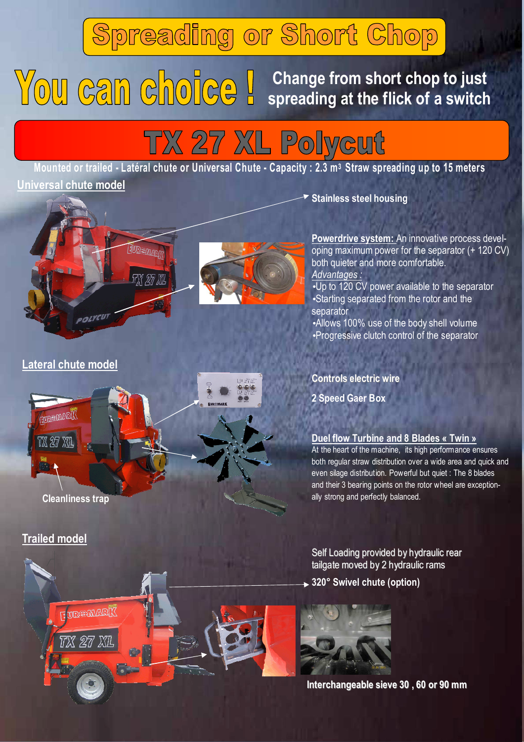### Spreading or Short Chop

### **Change from short chop to just spreading at the flick of a switch**

# TX 27 XL Polycut

**Universal chute model Mounted or trailed - Latéral chute or Universal Chute - Capacity : 2.3 m<sup>3</sup>Straw spreading up to 15 meters** 



**Lateral chute model FOR MARIK** 70 *27 X*il **Cleanliness trap** 

**Trailed model**

F-magnanary

TXX 27 X14



*Advantages :*

separator

### **Duel flow Turbine and 8 Blades « Twin »**

At the heart of the machine, its high performance ensures both regular straw distribution over a wide area and quick and even silage distribution. Powerful but quiet : The 8 blades and their 3 bearing points on the rotor wheel are exceptionally strong and perfectly balanced.

**Powerdrive system:** An innovative process developing maximum power for the separator (+ 120 CV)

•Up to 120 CV power available to the separator •Starting separated from the rotor and the

•Allows 100% use of the body shell volume •Progressive clutch control of the separator

both quieter and more comfortable.

**Stainless steel housing** 

### Self Loading provided by hydraulic rear tailgate moved by 2 hydraulic rams

**320° Swivel chute (option)** 



**Interchangeable sieve 30 , 60 or 90 mm**